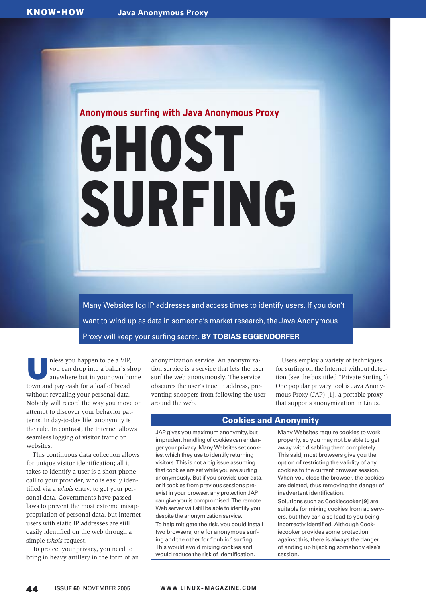# **Anonymous surfing with Java Anonymous Proxy** GHOST SURFING

Many Websites log IP addresses and access times to identify users. If you don't want to wind up as data in someone's market research, the Java Anonymous Proxy will keep your surfing secret. **BY TOBIAS EGGENDORFER**

nless you happen to be a VIP,<br>you can drop into a baker's sh<br>anywhere but in your own hot you can drop into a baker's shop anywhere but in your own home town and pay cash for a loaf of bread without revealing your personal data. Nobody will record the way you move or attempt to discover your behavior patterns. In day-to-day life, anonymity is the rule. In contrast, the Internet allows seamless logging of visitor traffic on websites.

This continuous data collection allows for unique visitor identification; all it takes to identify a user is a short phone call to your provider, who is easily identified via a *whois* entry, to get your personal data. Governments have passed laws to prevent the most extreme misappropriation of personal data, but Internet users with static IP addresses are still easily identified on the web through a simple *whois* request.

To protect your privacy, you need to bring in heavy artillery in the form of an

anonymization service. An anonymization service is a service that lets the user surf the web anonymously. The service obscures the user's true IP address, preventing snoopers from following the user around the web.

Users employ a variety of techniques for surfing on the Internet without detection (see the box titled "Private Surfing".) One popular privacy tool is Java Anonymous Proxy (JAP) [1], a portable proxy that supports anonymization in Linux.

# Cookies and Anonymity

JAP gives you maximum anonymity, but imprudent handling of cookies can endanger your privacy. Many Websites set cookies, which they use to identify returning visitors. This is not a big issue assuming that cookies are set while you are surfing anonymously. But if you provide user data, or if cookies from previous sessions preexist in your browser, any protection JAP can give you is compromised. The remote Web server will still be able to identify you despite the anonymization service. To help mitigate the risk, you could install two browsers, one for anonymous surfing and the other for "public" surfing. This would avoid mixing cookies and would reduce the risk of identification.

Many Websites require cookies to work properly, so you may not be able to get away with disabling them completely. This said, most browsers give you the option of restricting the validity of any cookies to the current browser session. When you close the browser, the cookies are deleted, thus removing the danger of inadvertent identification.

Solutions such as Cookiecooker [9] are suitable for mixing cookies from ad servers, but they can also lead to you being incorrectly identified. Although Cookiecooker provides some protection against this, there is always the danger of ending up hijacking somebody else's session.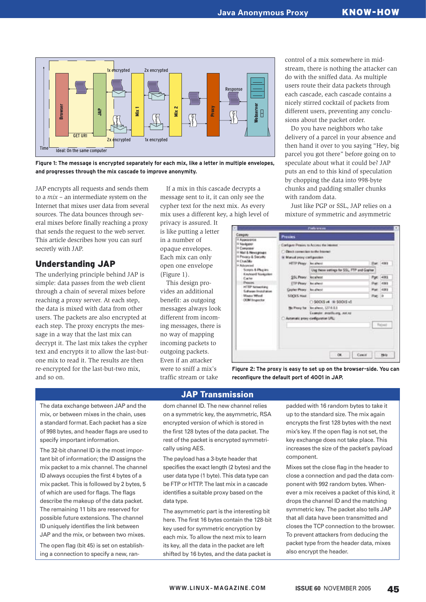

**Figure 1: The message is encrypted separately for each mix, like a letter in multiple envelopes,** 

JAP encrypts all requests and sends them to a *mix* – an intermediate system on the Internet that mixes user data from several sources. The data bounces through several mixes before finally reaching a proxy that sends the request to the web server. This article describes how you can surf secretly with JAP.

# Understanding JAP

The underlying principle behind JAP is simple: data passes from the web client through a chain of several mixes before reaching a proxy server. At each step, the data is mixed with data from other users. The packets are also encrypted at each step. The proxy encrypts the message in a way that the last mix can decrypt it. The last mix takes the cypher text and encrypts it to allow the last-butone mix to read it. The results are then re-encrypted for the last-but-two mix, and so on.

If a mix in this cascade decrypts a message sent to it, it can only see the cypher text for the next mix. As every mix uses a different key, a high level of

privacy is assured. It is like putting a letter in a number of opaque envelopes. Each mix can only open one envelope (Figure 1).

This design provides an additional benefit: as outgoing messages always look different from incoming messages, there is no way of mapping incoming packets to outgoing packets. Even if an attacker were to sniff a mix's traffic stream or take

control of a mix somewhere in midstream, there is nothing the attacker can do with the sniffed data. As multiple users route their data packets through each cascade, each cascade contains a nicely stirred cocktail of packets from different users, preventing any conclusions about the packet order.

Do you have neighbors who take delivery of a parcel in your absence and then hand it over to you saying "Hey, big parcel you got there" before going on to speculate about what it could be? JAP puts an end to this kind of speculation by chopping the data into 998-byte chunks and padding smaller chunks with random data.

Just like PGP or SSL, JAP relies on a mixture of symmetric and asymmetric

| Campory                                                                                                                                                                                                                                                                                | <b>Presies</b>                                                                                                                                         |                                            |         |           |
|----------------------------------------------------------------------------------------------------------------------------------------------------------------------------------------------------------------------------------------------------------------------------------------|--------------------------------------------------------------------------------------------------------------------------------------------------------|--------------------------------------------|---------|-----------|
| 17. Appearance<br>14 Navigator<br>ii Cunposer<br>1 Mail & Newsgroups<br>Il Peutry & Secure<br>* Challie<br>Scripts & Phapins<br><b>Environd Nongalers</b><br>Carter<br><b>Present</b><br>HTTP Nitwestone<br><b>Software Installation</b><br>Magus Wheel<br><b>COM</b> Importan<br>0.11 | C Elect connection to the business<br>In Manual provy configuration.                                                                                   | Cardgus Prosins to Accous the insurest     |         |           |
|                                                                                                                                                                                                                                                                                        | HTTP Peace: Incalnes)<br>\$5L Prony: localiwat<br>ETP Peace Incalned<br>George Peace for allers!<br>SOCKS Har-<br>C Automatic proxy configuration URL: |                                            |         | har 4001  |
|                                                                                                                                                                                                                                                                                        |                                                                                                                                                        | Use these settings for SSL, FTP and Gopher |         |           |
|                                                                                                                                                                                                                                                                                        |                                                                                                                                                        |                                            |         | Por: 4001 |
|                                                                                                                                                                                                                                                                                        |                                                                                                                                                        |                                            |         | Post 4001 |
|                                                                                                                                                                                                                                                                                        |                                                                                                                                                        |                                            |         | Part 4001 |
|                                                                                                                                                                                                                                                                                        |                                                                                                                                                        |                                            | Pac 19  |           |
|                                                                                                                                                                                                                                                                                        |                                                                                                                                                        | ∩ SOCIS v4 W SOCIS v1                      |         |           |
|                                                                                                                                                                                                                                                                                        |                                                                                                                                                        | No Piery for Tec alway, 127.6.0.1          |         |           |
|                                                                                                                                                                                                                                                                                        |                                                                                                                                                        | Example: angelis.org, auc.ra               |         |           |
|                                                                                                                                                                                                                                                                                        |                                                                                                                                                        |                                            |         | - Reinal  |
|                                                                                                                                                                                                                                                                                        |                                                                                                                                                        |                                            |         |           |
|                                                                                                                                                                                                                                                                                        |                                                                                                                                                        |                                            |         |           |
|                                                                                                                                                                                                                                                                                        |                                                                                                                                                        |                                            |         |           |
|                                                                                                                                                                                                                                                                                        |                                                                                                                                                        | CH.                                        | Case of | Hele      |

**Figure 2: The proxy is easy to set up on the browser-side. You can reconfigure the default port of 4001 in JAP.**

The data exchange between JAP and the mix, or between mixes in the chain, uses a standard format. Each packet has a size of 998 bytes, and header flags are used to specify important information.

The 32-bit channel ID is the most important bit of information; the ID assigns the mix packet to a mix channel. The channel ID always occupies the first 4 bytes of a mix packet. This is followed by 2 bytes, 5 of which are used for flags. The flags describe the makeup of the data packet. The remaining 11 bits are reserved for possible future extensions. The channel ID uniquely identifies the link between JAP and the mix, or between two mixes.

The open flag (bit 45) is set on establishing a connection to specify a new, ran-

dom channel ID. The new channel relies on a symmetric key, the asymmetric, RSA encrypted version of which is stored in the first 128 bytes of the data packet. The rest of the packet is encrypted symmetrically using AES.

JAP Transmission

The payload has a 3-byte header that specifies the exact length (2 bytes) and the user data type (1 byte). This data type can be FTP or HTTP. The last mix in a cascade identifies a suitable proxy based on the data type.

The asymmetric part is the interesting bit here. The first 16 bytes contain the 128-bit key used for symmetric encryption by each mix. To allow the next mix to learn its key, all the data in the packet are left shifted by 16 bytes, and the data packet is

padded with 16 random bytes to take it up to the standard size. The mix again encrypts the first 128 bytes with the next mix's key. If the open flag is not set, the key exchange does not take place. This increases the size of the packet's payload component.

Mixes set the close flag in the header to close a connection and pad the data component with 992 random bytes. Whenever a mix receives a packet of this kind, it drops the channel ID and the matching symmetric key. The packet also tells JAP that all data have been transmitted and closes the TCP connection to the browser. To prevent attackers from deducing the packet type from the header data, mixes also encrypt the header.